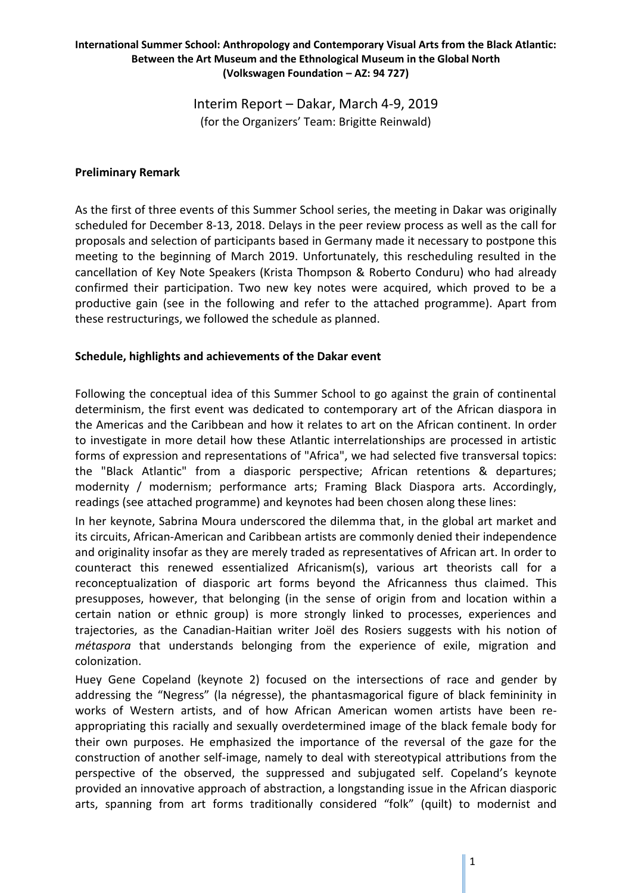Interim Report – Dakar, March 4-9, 2019 (for the Organizers' Team: Brigitte Reinwald)

### **Preliminary Remark**

As the first of three events of this Summer School series, the meeting in Dakar was originally scheduled for December 8-13, 2018. Delays in the peer review process as well as the call for proposals and selection of participants based in Germany made it necessary to postpone this meeting to the beginning of March 2019. Unfortunately, this rescheduling resulted in the cancellation of Key Note Speakers (Krista Thompson & Roberto Conduru) who had already confirmed their participation. Two new key notes were acquired, which proved to be a productive gain (see in the following and refer to the attached programme). Apart from these restructurings, we followed the schedule as planned.

# **Schedule, highlights and achievements of the Dakar event**

Following the conceptual idea of this Summer School to go against the grain of continental determinism, the first event was dedicated to contemporary art of the African diaspora in the Americas and the Caribbean and how it relates to art on the African continent. In order to investigate in more detail how these Atlantic interrelationships are processed in artistic forms of expression and representations of "Africa", we had selected five transversal topics: the "Black Atlantic" from a diasporic perspective; African retentions & departures; modernity / modernism; performance arts; Framing Black Diaspora arts. Accordingly, readings (see attached programme) and keynotes had been chosen along these lines:

In her keynote, Sabrina Moura underscored the dilemma that, in the global art market and its circuits, African-American and Caribbean artists are commonly denied their independence and originality insofar as they are merely traded as representatives of African art. In order to counteract this renewed essentialized Africanism(s), various art theorists call for a reconceptualization of diasporic art forms beyond the Africanness thus claimed. This presupposes, however, that belonging (in the sense of origin from and location within a certain nation or ethnic group) is more strongly linked to processes, experiences and trajectories, as the Canadian-Haitian writer Joël des Rosiers suggests with his notion of *métaspora* that understands belonging from the experience of exile, migration and colonization.

Huey Gene Copeland (keynote 2) focused on the intersections of race and gender by addressing the "Negress" (la négresse), the phantasmagorical figure of black femininity in works of Western artists, and of how African American women artists have been reappropriating this racially and sexually overdetermined image of the black female body for their own purposes. He emphasized the importance of the reversal of the gaze for the construction of another self-image, namely to deal with stereotypical attributions from the perspective of the observed, the suppressed and subjugated self. Copeland's keynote provided an innovative approach of abstraction, a longstanding issue in the African diasporic arts, spanning from art forms traditionally considered "folk" (quilt) to modernist and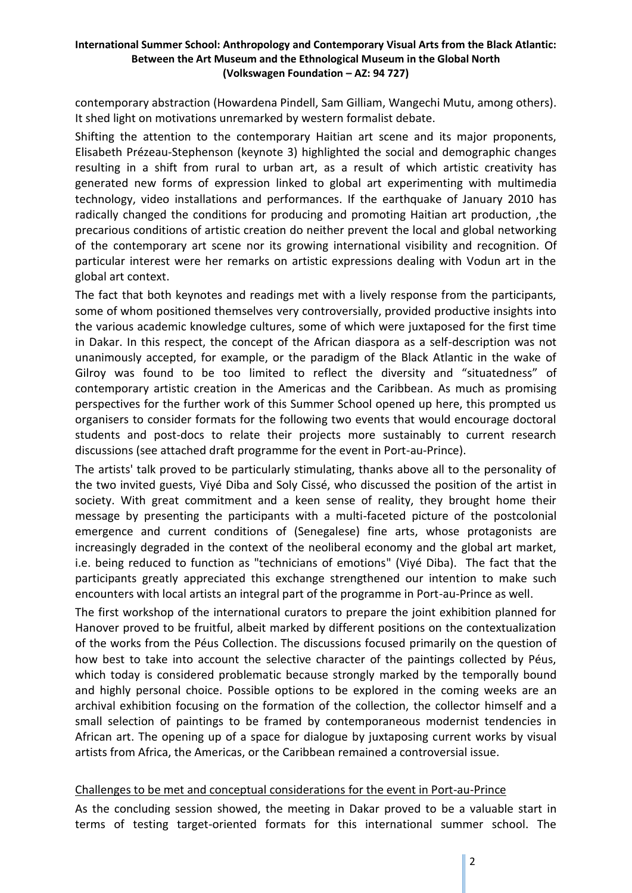contemporary abstraction (Howardena Pindell, Sam Gilliam, Wangechi Mutu, among others). It shed light on motivations unremarked by western formalist debate.

Shifting the attention to the contemporary Haitian art scene and its major proponents, Elisabeth Prézeau-Stephenson (keynote 3) highlighted the social and demographic changes resulting in a shift from rural to urban art, as a result of which artistic creativity has generated new forms of expression linked to global art experimenting with multimedia technology, video installations and performances. If the earthquake of January 2010 has radically changed the conditions for producing and promoting Haitian art production, ,the precarious conditions of artistic creation do neither prevent the local and global networking of the contemporary art scene nor its growing international visibility and recognition. Of particular interest were her remarks on artistic expressions dealing with Vodun art in the global art context.

The fact that both keynotes and readings met with a lively response from the participants, some of whom positioned themselves very controversially, provided productive insights into the various academic knowledge cultures, some of which were juxtaposed for the first time in Dakar. In this respect, the concept of the African diaspora as a self-description was not unanimously accepted, for example, or the paradigm of the Black Atlantic in the wake of Gilroy was found to be too limited to reflect the diversity and "situatedness" of contemporary artistic creation in the Americas and the Caribbean. As much as promising perspectives for the further work of this Summer School opened up here, this prompted us organisers to consider formats for the following two events that would encourage doctoral students and post-docs to relate their projects more sustainably to current research discussions (see attached draft programme for the event in Port-au-Prince).

The artists' talk proved to be particularly stimulating, thanks above all to the personality of the two invited guests, Viyé Diba and Soly Cissé, who discussed the position of the artist in society. With great commitment and a keen sense of reality, they brought home their message by presenting the participants with a multi-faceted picture of the postcolonial emergence and current conditions of (Senegalese) fine arts, whose protagonists are increasingly degraded in the context of the neoliberal economy and the global art market, i.e. being reduced to function as "technicians of emotions" (Viyé Diba). The fact that the participants greatly appreciated this exchange strengthened our intention to make such encounters with local artists an integral part of the programme in Port-au-Prince as well.

The first workshop of the international curators to prepare the joint exhibition planned for Hanover proved to be fruitful, albeit marked by different positions on the contextualization of the works from the Péus Collection. The discussions focused primarily on the question of how best to take into account the selective character of the paintings collected by Péus, which today is considered problematic because strongly marked by the temporally bound and highly personal choice. Possible options to be explored in the coming weeks are an archival exhibition focusing on the formation of the collection, the collector himself and a small selection of paintings to be framed by contemporaneous modernist tendencies in African art. The opening up of a space for dialogue by juxtaposing current works by visual artists from Africa, the Americas, or the Caribbean remained a controversial issue.

### Challenges to be met and conceptual considerations for the event in Port-au-Prince

As the concluding session showed, the meeting in Dakar proved to be a valuable start in terms of testing target-oriented formats for this international summer school. The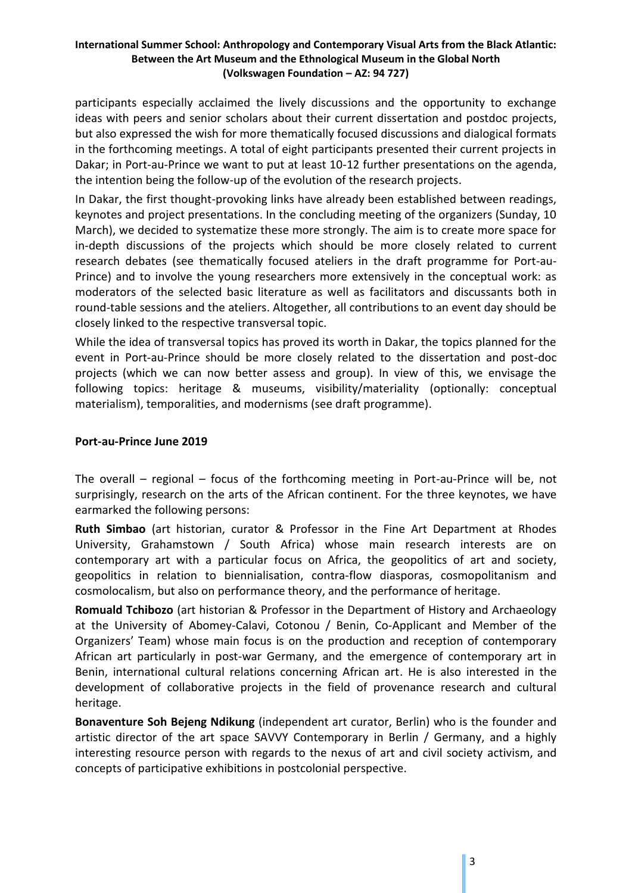participants especially acclaimed the lively discussions and the opportunity to exchange ideas with peers and senior scholars about their current dissertation and postdoc projects, but also expressed the wish for more thematically focused discussions and dialogical formats in the forthcoming meetings. A total of eight participants presented their current projects in Dakar; in Port-au-Prince we want to put at least 10-12 further presentations on the agenda, the intention being the follow-up of the evolution of the research projects.

In Dakar, the first thought-provoking links have already been established between readings, keynotes and project presentations. In the concluding meeting of the organizers (Sunday, 10 March), we decided to systematize these more strongly. The aim is to create more space for in-depth discussions of the projects which should be more closely related to current research debates (see thematically focused ateliers in the draft programme for Port-au-Prince) and to involve the young researchers more extensively in the conceptual work: as moderators of the selected basic literature as well as facilitators and discussants both in round-table sessions and the ateliers. Altogether, all contributions to an event day should be closely linked to the respective transversal topic.

While the idea of transversal topics has proved its worth in Dakar, the topics planned for the event in Port-au-Prince should be more closely related to the dissertation and post-doc projects (which we can now better assess and group). In view of this, we envisage the following topics: heritage & museums, visibility/materiality (optionally: conceptual materialism), temporalities, and modernisms (see draft programme).

### **Port-au-Prince June 2019**

The overall – regional – focus of the forthcoming meeting in Port-au-Prince will be, not surprisingly, research on the arts of the African continent. For the three keynotes, we have earmarked the following persons:

**Ruth Simbao** (art historian, curator & Professor in the Fine Art Department at Rhodes University, Grahamstown / South Africa) whose main research interests are on contemporary art with a particular focus on Africa, the geopolitics of art and society, geopolitics in relation to biennialisation, contra-flow diasporas, cosmopolitanism and cosmolocalism, but also on performance theory, and the performance of heritage.

**Romuald Tchibozo** (art historian & Professor in the Department of History and Archaeology at the University of Abomey-Calavi, Cotonou / Benin, Co-Applicant and Member of the Organizers' Team) whose main focus is on the production and reception of contemporary African art particularly in post-war Germany, and the emergence of contemporary art in Benin, international cultural relations concerning African art. He is also interested in the development of collaborative projects in the field of provenance research and cultural heritage.

**Bonaventure Soh Bejeng Ndikung** (independent art curator, Berlin) who is the founder and artistic director of the art space SAVVY Contemporary in Berlin / Germany, and a highly interesting resource person with regards to the nexus of art and civil society activism, and concepts of participative exhibitions in postcolonial perspective.